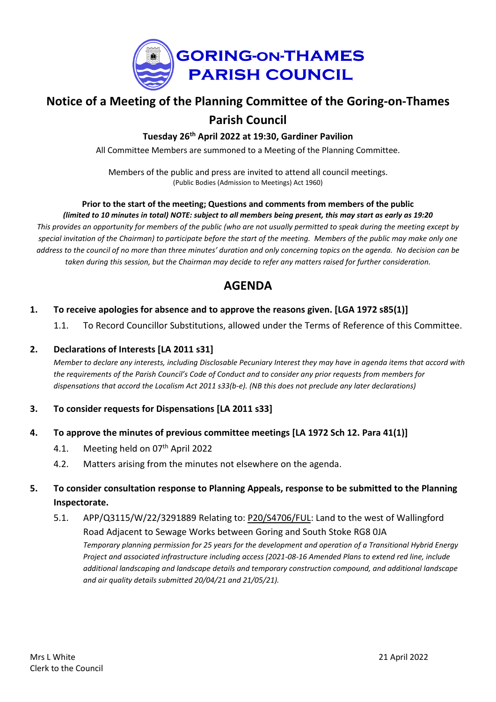

# **Notice of a Meeting of the Planning Committee of the Goring-on-Thames Parish Council**

**Tuesday 26th April 2022 at 19:30, Gardiner Pavilion**

All Committee Members are summoned to a Meeting of the Planning Committee.

Members of the public and press are invited to attend all council meetings. (Public Bodies (Admission to Meetings) Act 1960)

#### **Prior to the start of the meeting; Questions and comments from members of the public** (limited to 10 minutes in total) NOTE: subject to all members being present, this may start as early as 19:20

This provides an opportunity for members of the public (who are not usually permitted to speak during the meeting except by special invitation of the Chairman) to participate before the start of the meeting. Members of the public may make only one address to the council of no more than three minutes' duration and only concerning topics on the agenda. No decision can be taken during this session, but the Chairman may decide to refer any matters raised for further consideration.

## **AGENDA**

## **1. To receive apologies for absence and to approve the reasons given. [LGA 1972 s85(1)]**

1.1. To Record Councillor Substitutions, allowed under the Terms of Reference of this Committee.

## **2. Declarations of Interests [LA 2011 s31]**

Member to declare any interests, including Disclosable Pecuniary Interest they may have in agenda items that accord with the requirements of the Parish Council's Code of Conduct and to consider any prior requests from members for *dispensations that accord the Localism Act 2011 s33(b-e). (NB this does not preclude any later declarations)*

## **3. To consider requests for Dispensations [LA 2011 s33]**

#### **4. To approve the minutes of previous committee meetings [LA 1972 Sch 12. Para 41(1)]**

- 4.1. Meeting held on 07<sup>th</sup> April 2022
- 4.2. Matters arising from the minutes not elsewhere on the agenda.

## **5. To consider consultation response to Planning Appeals, response to be submitted to the Planning Inspectorate.**

5.1. APP/Q3115/W/22/3291889 Relating to: [P20/S4706/FUL:](https://data.southoxon.gov.uk/ccm/support/Main.jsp?MODULE=ApplicationDetails&REF=P20/S4706/FUL) Land to the west of Wallingford Road Adjacent to Sewage Works between Goring and South Stoke RG8 0JA *Temporary planning permission for 25 years for the development and operation of a Transitional Hybrid Energy Project and associated infrastructure including access (2021-08-16 Amended Plans to extend red line, include additional landscaping and landscape details and temporary construction compound, and additional landscape and air quality details submitted 20/04/21 and 21/05/21).*